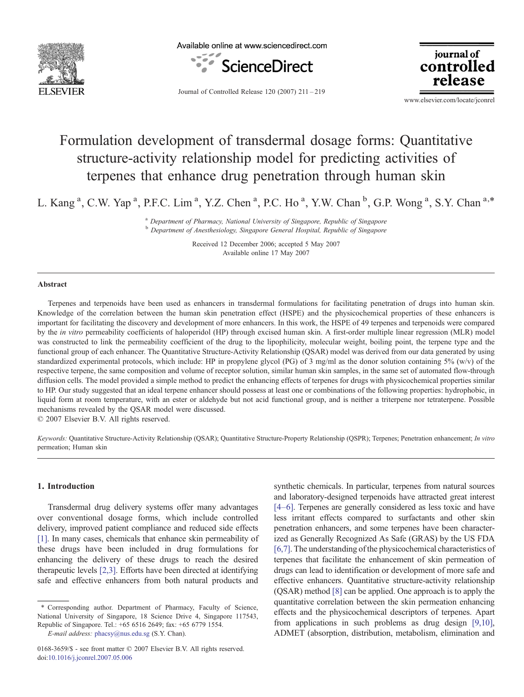

Available online at www.sciencedirect.com



journal of controlled release

Journal of Controlled Release 120 (2007) 211–219

www.elsevier.com/locate/jconrel

# Formulation development of transdermal dosage forms: Quantitative structure-activity relationship model for predicting activities of terpenes that enhance drug penetration through human skin

L. Kang<sup>a</sup>, C.W. Yap<sup>a</sup>, P.F.C. Lim<sup>a</sup>, Y.Z. Chen<sup>a</sup>, P.C. Ho<sup>a</sup>, Y.W. Chan<sup>b</sup>, G.P. Wong<sup>a</sup>, S.Y. Chan<sup>a,\*</sup>

<sup>a</sup> Department of Pharmacy, National University of Singapore, Republic of Singapore **b** Department of Anesthesiology, Singapore General Hospital, Republic of Singapore

> Received 12 December 2006; accepted 5 May 2007 Available online 17 May 2007

#### Abstract

Terpenes and terpenoids have been used as enhancers in transdermal formulations for facilitating penetration of drugs into human skin. Knowledge of the correlation between the human skin penetration effect (HSPE) and the physicochemical properties of these enhancers is important for facilitating the discovery and development of more enhancers. In this work, the HSPE of 49 terpenes and terpenoids were compared by the *in vitro* permeability coefficients of haloperidol (HP) through excised human skin. A first-order multiple linear regression (MLR) model was constructed to link the permeability coefficient of the drug to the lipophilicity, molecular weight, boiling point, the terpene type and the functional group of each enhancer. The Quantitative Structure-Activity Relationship (QSAR) model was derived from our data generated by using standardized experimental protocols, which include: HP in propylene glycol (PG) of 3 mg/ml as the donor solution containing 5% (w/v) of the respective terpene, the same composition and volume of receptor solution, similar human skin samples, in the same set of automated flow-through diffusion cells. The model provided a simple method to predict the enhancing effects of terpenes for drugs with physicochemical properties similar to HP. Our study suggested that an ideal terpene enhancer should possess at least one or combinations of the following properties: hydrophobic, in liquid form at room temperature, with an ester or aldehyde but not acid functional group, and is neither a triterpene nor tetraterpene. Possible mechanisms revealed by the QSAR model were discussed.

© 2007 Elsevier B.V. All rights reserved.

Keywords: Quantitative Structure-Activity Relationship (QSAR); Quantitative Structure-Property Relationship (QSPR); Terpenes; Penetration enhancement; In vitro permeation; Human skin

#### 1. Introduction

Transdermal drug delivery systems offer many advantages over conventional dosage forms, which include controlled delivery, improved patient compliance and reduced side effects [\[1\].](#page-7-0) In many cases, chemicals that enhance skin permeability of these drugs have been included in drug formulations for enhancing the delivery of these drugs to reach the desired therapeutic levels [\[2,3\].](#page-7-0) Efforts have been directed at identifying safe and effective enhancers from both natural products and

synthetic chemicals. In particular, terpenes from natural sources and laboratory-designed terpenoids have attracted great interest [\[4](#page-7-0)–6]. Terpenes are generally considered as less toxic and have less irritant effects compared to surfactants and other skin penetration enhancers, and some terpenes have been characterized as Generally Recognized As Safe (GRAS) by the US FDA [\[6,7\]](#page-7-0). The understanding of the physicochemical characteristics of terpenes that facilitate the enhancement of skin permeation of drugs can lead to identification or development of more safe and effective enhancers. Quantitative structure-activity relationship (QSAR) method [\[8\]](#page-7-0) can be applied. One approach is to apply the quantitative correlation between the skin permeation enhancing effects and the physicochemical descriptors of terpenes. Apart from applications in such problems as drug design [\[9,10\]](#page-7-0), ADMET (absorption, distribution, metabolism, elimination and

<sup>⁎</sup> Corresponding author. Department of Pharmacy, Faculty of Science, National University of Singapore, 18 Science Drive 4, Singapore 117543, Republic of Singapore. Tel.: +65 6516 2649; fax: +65 6779 1554.

E-mail address: [phacsy@nus.edu.sg](mailto:phacsy@nus.edu.sg) (S.Y. Chan).

<sup>0168-3659/\$ -</sup> see front matter © 2007 Elsevier B.V. All rights reserved. doi:[10.1016/j.jconrel.2007.05.006](http://dx.doi.org/10.1016/j.jconrel.2007.05.006)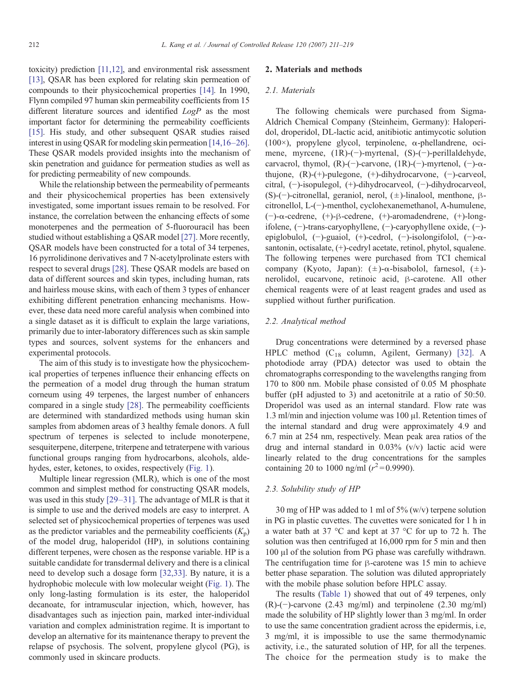toxicity) prediction [\[11,12\],](#page-7-0) and environmental risk assessment [\[13\],](#page-7-0) QSAR has been explored for relating skin permeation of compounds to their physicochemical properties [\[14\].](#page-7-0) In 1990, Flynn compiled 97 human skin permeability coefficients from 15 different literature sources and identified LogP as the most important factor for determining the permeability coefficients [\[15\].](#page-7-0) His study, and other subsequent OSAR studies raised interest in using QSAR for modeling skin permeation [\[14,16](#page-7-0)–26]. These QSAR models provided insights into the mechanism of skin penetration and guidance for permeation studies as well as for predicting permeability of new compounds.

While the relationship between the permeability of permeants and their physicochemical properties has been extensively investigated, some important issues remain to be resolved. For instance, the correlation between the enhancing effects of some monoterpenes and the permeation of 5-fluorouracil has been studied without establishing a QSAR model [\[27\]](#page-7-0). More recently, QSAR models have been constructed for a total of 34 terpenes, 16 pyrrolidinone derivatives and 7 N-acetylprolinate esters with respect to several drugs [\[28\].](#page-8-0) These QSAR models are based on data of different sources and skin types, including human, rats and hairless mouse skins, with each of them 3 types of enhancer exhibiting different penetration enhancing mechanisms. However, these data need more careful analysis when combined into a single dataset as it is difficult to explain the large variations, primarily due to inter-laboratory differences such as skin sample types and sources, solvent systems for the enhancers and experimental protocols.

The aim of this study is to investigate how the physicochemical properties of terpenes influence their enhancing effects on the permeation of a model drug through the human stratum corneum using 49 terpenes, the largest number of enhancers compared in a single study [\[28\].](#page-8-0) The permeability coefficients are determined with standardized methods using human skin samples from abdomen areas of 3 healthy female donors. A full spectrum of terpenes is selected to include monoterpene, sesquiterpene, diterpene, triterpene and tetraterpene with various functional groups ranging from hydrocarbons, alcohols, aldehydes, ester, ketones, to oxides, respectively ([Fig. 1](#page-2-0)).

Multiple linear regression (MLR), which is one of the most common and simplest method for constructing QSAR models, was used in this study [\[29](#page-8-0)–31]. The advantage of MLR is that it is simple to use and the derived models are easy to interpret. A selected set of physicochemical properties of terpenes was used as the predictor variables and the permeability coefficients  $(K_p)$ of the model drug, haloperidol (HP), in solutions containing different terpenes, were chosen as the response variable. HP is a suitable candidate for transdermal delivery and there is a clinical need to develop such a dosage form [\[32,33\].](#page-8-0) By nature, it is a hydrophobic molecule with low molecular weight ([Fig. 1](#page-2-0)). The only long-lasting formulation is its ester, the haloperidol decanoate, for intramuscular injection, which, however, has disadvantages such as injection pain, marked inter-individual variation and complex administration regime. It is important to develop an alternative for its maintenance therapy to prevent the relapse of psychosis. The solvent, propylene glycol (PG), is commonly used in skincare products.

#### 2. Materials and methods

#### 2.1. Materials

The following chemicals were purchased from Sigma-Aldrich Chemical Company (Steinheim, Germany): Haloperidol, droperidol, DL-lactic acid, anitibiotic antimycotic solution (100 $\times$ ), propylene glycol, terpinolene,  $\alpha$ -phellandrene, ocimene, myrcene, (1R)-(−)-myrtenal, (S)-(−)-perillaldehyde, carvacrol, thymol,  $(R)$ - $(-)$ -carvone,  $(1R)$ - $(-)$ -myrtenol,  $(-)$ - $\alpha$ thujone, (R)-(+)-pulegone, (+)-dihydrocarvone, (−)-carveol, citral, (−)-isopulegol, (+)-dihydrocarveol, (−)-dihydrocarveol, (S)-(-)-citronellal, geraniol, nerol, (±)-linalool, menthone, βcitronellol, L-(−)-menthol, cyclohexanemethanol, A-humulene, (−)-α-cedrene, (+)-β-cedrene, (+)-aromadendrene, (+)-longifolene, (−)-trans-caryophyllene, (−)-caryophyllene oxide, (−) epiglobulol, (−)-guaiol, (+)-cedrol, (−)-isolongifolol, (−)-αsantonin, octisalate, (+)-cedryl acetate, retinol, phytol, squalene. The following terpenes were purchased from TCI chemical company (Kyoto, Japan):  $(\pm)$ -α-bisabolol, farnesol,  $(\pm)$ nerolidol, eucarvone, retinoic acid, β-carotene. All other chemical reagents were of at least reagent grades and used as supplied without further purification.

## 2.2. Analytical method

Drug concentrations were determined by a reversed phase HPLC method  $(C_{18}$  column, Agilent, Germany) [\[32\].](#page-8-0) A photodiode array (PDA) detector was used to obtain the chromatographs corresponding to the wavelengths ranging from 170 to 800 nm. Mobile phase consisted of 0.05 M phosphate buffer (pH adjusted to 3) and acetonitrile at a ratio of 50:50. Droperidol was used as an internal standard. Flow rate was 1.3 ml/min and injection volume was 100 μl. Retention times of the internal standard and drug were approximately 4.9 and 6.7 min at 254 nm, respectively. Mean peak area ratios of the drug and internal standard in 0.03% (v/v) lactic acid were linearly related to the drug concentrations for the samples containing 20 to 1000 ng/ml  $(r^2 = 0.9990)$ .

## 2.3. Solubility study of HP

30 mg of HP was added to 1 ml of 5% (w/v) terpene solution in PG in plastic cuvettes. The cuvettes were sonicated for 1 h in a water bath at 37 °C and kept at 37 °C for up to 72 h. The solution was then centrifuged at 16,000 rpm for 5 min and then 100 μl of the solution from PG phase was carefully withdrawn. The centrifugation time for β-carotene was 15 min to achieve better phase separation. The solution was diluted appropriately with the mobile phase solution before HPLC assay.

The results [\(Table 1](#page-3-0)) showed that out of 49 terpenes, only (R)-(−)-carvone (2.43 mg/ml) and terpinolene (2.30 mg/ml) made the solubility of HP slightly lower than 3 mg/ml. In order to use the same concentration gradient across the epidermis, i.e, 3 mg/ml, it is impossible to use the same thermodynamic activity, i.e., the saturated solution of HP, for all the terpenes. The choice for the permeation study is to make the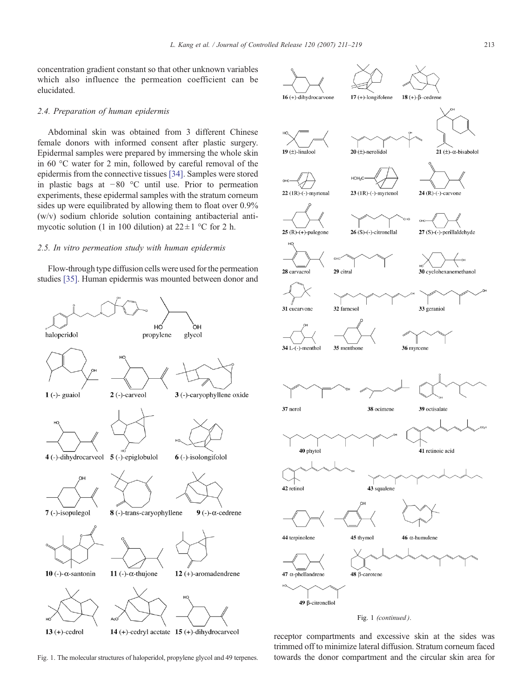<span id="page-2-0"></span>concentration gradient constant so that other unknown variables which also influence the permeation coefficient can be elucidated.

#### 2.4. Preparation of human epidermis

Abdominal skin was obtained from 3 different Chinese female donors with informed consent after plastic surgery. Epidermal samples were prepared by immersing the whole skin in 60 °C water for 2 min, followed by careful removal of the epidermis from the connective tissues [\[34\]](#page-8-0). Samples were stored in plastic bags at −80 °C until use. Prior to permeation experiments, these epidermal samples with the stratum corneum sides up were equilibrated by allowing them to float over 0.9% (w/v) sodium chloride solution containing antibacterial antimycotic solution (1 in 100 dilution) at  $22 \pm 1$  °C for 2 h.

#### 2.5. In vitro permeation study with human epidermis

Flow-through type diffusion cells were used for the permeation studies [\[35\].](#page-8-0) Human epidermis was mounted between donor and





receptor compartments and excessive skin at the sides was trimmed off to minimize lateral diffusion. Stratum corneum faced Fig. 1. The molecular structures of haloperidol, propylene glycol and 49 terpenes. towards the donor compartment and the circular skin area for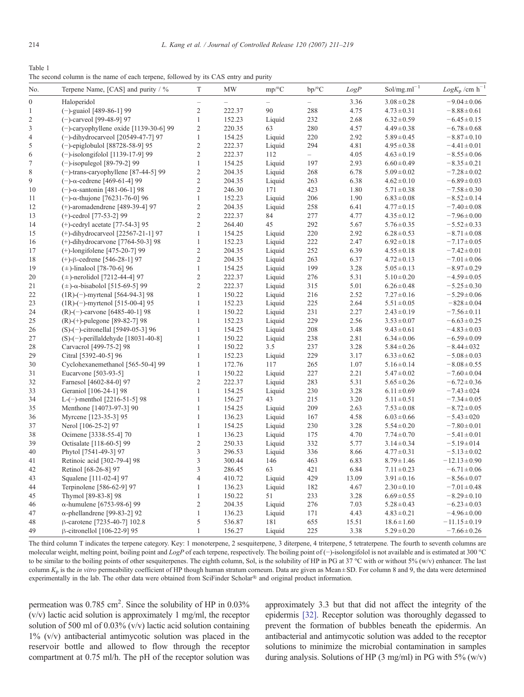<span id="page-3-0"></span>

| Table 1                                                                             |  |  |
|-------------------------------------------------------------------------------------|--|--|
| The second column is the name of each terpene, followed by its CAS entry and purity |  |  |

| No.                      | Terpene Name, [CAS] and purity / %                                  | $\mathcal T$             | MW               | $mp$ <sup>o</sup> $C$ | bp/°C                    | LogP         | $Sol/mg.ml^{-1}$                   | $Log K_p$ /cm h                      |
|--------------------------|---------------------------------------------------------------------|--------------------------|------------------|-----------------------|--------------------------|--------------|------------------------------------|--------------------------------------|
| $\boldsymbol{0}$         | Haloperidol                                                         | $\overline{\phantom{0}}$ |                  |                       |                          | 3.36         | $3.08 \pm 0.28$                    | $-9.04 \pm 0.06$                     |
| $\mathbf{1}$             | $(-)$ -guaiol [489-86-1] 99                                         | $\overline{2}$           | 222.37           | 90                    | 288                      | 4.75         | $4.73 \pm 0.31$                    | $-8.88 \pm 0.61$                     |
| $\sqrt{2}$               | $(-)$ -carveol [99-48-9] 97                                         | $\mathbf{1}$             | 152.23           | Liquid                | 232                      | 2.68         | $6.32 \pm 0.59$                    | $-6.45 \pm 0.15$                     |
| $\sqrt{3}$               | $(-)$ -caryophyllene oxide [1139-30-6] 99                           | $\overline{c}$           | 220.35           | 63                    | 280                      | 4.57         | $4.49 \pm 0.38$                    | $-6.78 \pm 0.68$                     |
| $\overline{\mathcal{L}}$ | (-)-dihydrocarveol [20549-47-7] 97                                  | $\mathbf{1}$             | 154.25           | Liquid                | 220                      | 2.92         | $5.89 \pm 0.45$                    | $-8.87 \pm 0.10$                     |
| 5                        | (-)-epiglobulol [88728-58-9] 95                                     | $\sqrt{2}$               | 222.37           | Liquid                | 294                      | 4.81         | $4.95 \pm 0.38$                    | $-4.41 \pm 0.01$                     |
| 6                        | (-)-isolongifolol [1139-17-9] 99                                    | $\overline{c}$           | 222.37           | 112                   | $\overline{\phantom{0}}$ | 4.05         | $4.63 \pm 0.19$                    | $-8.55 \pm 0.06$                     |
| $\boldsymbol{7}$         | $(-)$ -isopulegol [89-79-2] 99                                      | $\mathbf{1}$             | 154.25           | Liquid                | 197                      | 2.93         | $6.60 \pm 0.49$                    | $-8.35 \pm 0.21$                     |
| $\,$ $\,$                | $(-)$ -trans-caryophyllene [87-44-5] 99                             | $\overline{c}$           | 204.35           | Liquid                | 268                      | 6.78         | $5.09 \pm 0.02$                    | $-7.28 \pm 0.02$                     |
| 9                        | $(-)$ -α-cedrene [469-61-4] 99                                      | $\overline{c}$           | 204.35           | Liquid                | 263                      | 6.38         | $4.62 \pm 0.10$                    | $-6.89 \pm 0.03$                     |
| 10                       | $(-)$ -α-santonin [481-06-1] 98                                     | $\sqrt{2}$               | 246.30           | 171                   | 423                      | 1.80         | $5.71 \pm 0.38$                    | $-7.58 \pm 0.30$                     |
| 11                       | $(-)$ - $\alpha$ -thujone [76231-76-0] 96                           | $\mathbf{1}$             | 152.23           | Liquid                | 206                      | 1.90         | $6.83 \pm 0.08$                    | $-8.52 \pm 0.14$                     |
| 12                       | (+)-aromadendrene [489-39-4] 97                                     | $\sqrt{2}$               | 204.35           | Liquid                | 258                      | 6.41         | $4.77 \pm 0.15$                    | $-7.40 \pm 0.08$                     |
| 13                       | (+)-cedrol [77-53-2] 99                                             | $\overline{c}$           | 222.37           | 84                    | 277                      | 4.77         | $4.35 \pm 0.12$                    | $-7.96 \pm 0.00$                     |
| 14                       | (+)-cedryl acetate [77-54-3] 95                                     | $\overline{c}$           | 264.40           | 45                    | 292                      | 5.67         | $5.76 \pm 0.35$                    | $-5.52 \pm 0.33$                     |
| 15                       | (+)-dihydrocarveol [22567-21-1] 97                                  | $\,1\,$                  | 154.25           | Liquid                | 220                      | 2.92         | $6.28 \pm 0.53$                    | $-8.71 \pm 0.08$                     |
| 16                       | (+)-dihydrocarvone [7764-50-3] 98                                   | $\mathbf{1}$             | 152.23           | Liquid                | 222                      | 2.47         | $6.92 \pm 0.18$                    | $-7.17 \pm 0.05$                     |
| $17\,$                   | (+)-longifolene [475-20-7] 99                                       | $\sqrt{2}$               | 204.35           | Liquid                | 252                      | 6.39         | $4.55 \pm 0.18$                    | $-7.42 \pm 0.01$                     |
| 18                       | $(+)$ - $\beta$ -cedrene [546-28-1] 97                              | $\overline{c}$           | 204.35           | Liquid                | 263                      | 6.37         | $4.72 \pm 0.13$                    | $-7.01 \pm 0.06$                     |
| 19                       | $(\pm)$ -linalool [78-70-6] 96                                      | $\,1$                    | 154.25           | Liquid                | 199                      | 3.28         | $5.05 \pm 0.13$                    | $-8.97 \pm 0.29$                     |
| 20                       | $(\pm)$ -nerolidol [7212-44-4] 97                                   | $\sqrt{2}$               | 222.37           | Liquid                | 276                      | 5.31         | $5.10 \pm 0.20$                    | $-4.59 \pm 0.05$                     |
| 21                       | $(\pm)$ - $\alpha$ -bisabolol [515-69-5] 99                         | $\overline{c}$           | 222.37           | Liquid                | 315                      | 5.01         | $6.26 \pm 0.48$                    | $-5.25 \pm 0.30$                     |
| 22                       | $(1R)$ - $(-)$ -myrtenal [564-94-3] 98                              | $\mathbf{1}$             | 150.22           | Liquid                | 216                      | 2.52         | $7.27 \pm 0.16$                    | $-5.29 \pm 0.06$                     |
| 23                       | $(1R)$ - $(-)$ -myrtenol [515-00-4] 95                              | $\mathbf{1}$             | 152.23           | Liquid                | 225                      | 2.64         | $5.51 \pm 0.05$                    | $-828 \pm 0.04$                      |
| 24                       | $(R)$ - $(-)$ -carvone [6485-40-1] 98                               | $\mathbf{1}$             | 150.22           | Liquid                | 231                      | 2.27         | $2.43 \pm 0.19$                    | $-7.56 \pm 0.11$                     |
| 25                       | $(R)-(+)$ -pulegone [89-82-7] 98                                    | $\mathbf{1}$             | 152.23           | Liquid                | 229                      | 2.56         | $3.53 \pm 0.07$                    | $-6.63 \pm 0.25$                     |
| 26                       | $(S)$ - $(-)$ -citronellal [5949-05-3] 96                           | $\mathbf{1}$             | 154.25           | Liquid                | 208                      | 3.48         | $9.43 \pm 0.61$                    | $-4.83 \pm 0.03$                     |
| $27\,$                   | $(S)$ - $(-)$ -perillaldehyde [18031-40-8]                          | $\mathbf{1}$             | 150.22           | Liquid                | 238                      | 2.81         | $6.34 \pm 0.06$                    | $-6.59 \pm 0.09$                     |
| 28                       | Carvacrol [499-75-2] 98                                             | $\mathbf{1}$             | 150.22           | 3.5                   | 237                      | 3.28         | $5.84 \pm 0.26$                    | $-8.44 \pm 032$                      |
| 29                       | Citral [5392-40-5] 96                                               | $\mathbf{1}$             | 152.23           | Liquid                | 229                      | 3.17         | $6.33 \pm 0.62$                    | $-5.08 \pm 0.03$                     |
| 30                       | Cyclohexanemethanol [565-50-4] 99                                   | $\mathbf{1}$             | 172.76           | 117                   | 265                      | 1.07         | $5.16 \pm 0.14$                    | $-8.08 \pm 0.55$                     |
| 31                       | Eucarvone [503-93-5]                                                | $\mathbf{1}$             | 150.22           | Liquid                | 227                      | 2.21         | $5.47 \pm 0.02$                    | $-7.60 \pm 0.04$                     |
| 32                       | Farnesol [4602-84-0] 97                                             | $\overline{2}$           | 222.37           | Liquid                | 283                      | 5.31         | $5.65 \pm 0.26$                    | $-6.72 \pm 0.36$                     |
| 33                       | Geraniol [106-24-1] 98                                              | $\mathbf{1}$             | 154.25           | Liquid                | 230                      | 3.28         | $6.11 \pm 0.69$                    | $-7.43 \pm 024$                      |
| 34                       | L- $(-)$ -menthol [2216-51-5] 98                                    | $\mathbf{1}$             | 156.27           | 43                    | 215                      | 3.20         | $5.11 \pm 0.51$                    | $-7.34 \pm 0.05$                     |
| 35                       | Menthone [14073-97-3] 90                                            | $\mathbf{1}$             | 154.25           | Liquid                | 209                      | 2.63         | $7.53 \pm 0.08$                    | $-8.72 \pm 0.05$                     |
| 36                       | Myrcene [123-35-3] 95                                               | $\mathbf{1}$             | 136.23           | Liquid                | 167                      | 4.58         | $6.03 \pm 0.66$                    | $-5.43 \pm 020$                      |
| 37                       | Nerol [106-25-2] 97                                                 | $\mathbf{1}$             | 154.25           | Liquid                | 230                      | 3.28         | $5.54 \pm 0.20$                    | $-7.80 \pm 0.01$                     |
| 38                       | Ocimene [3338-55-4] 70                                              | $\mathbf{1}$             | 136.23           | Liquid                | 175                      | 4.70         | $7.74 \pm 0.70$                    | $-5.41 \pm 0.01$                     |
| 39                       | Octisalate [118-60-5] 99                                            | $\sqrt{2}$               | 250.33           | Liquid                | 332                      | 5.77         | $3.14 \pm 0.34$                    | $-5.19 \pm 014$                      |
| 40                       | Phytol [7541-49-3] 97                                               | $\mathfrak z$            | 296.53           | Liquid                | 336                      | 8.66         | $4.77 \pm 0.31$                    | $-5.13 \pm 0.02$                     |
| 41                       | Retinoic acid [302-79-4] 98                                         | 3                        | 300.44           | 146                   | 463                      | 6.83         | $8.79 \pm 1.46$                    | $-12.13 \pm 0.90$                    |
| 42                       | Retinol [68-26-8] 97                                                | 3                        | 286.45           | 63                    | 421                      | 6.84         | $7.11 \pm 0.23$                    | $-6.71 \pm 0.06$                     |
| 43                       | Squalene [111-02-4] 97                                              | $\overline{4}$           | 410.72           | Liquid                | 429                      | 13.09        | $3.91 \pm 0.16$                    | $-8.56 \pm 0.07$                     |
| 44                       | Terpinolene [586-62-9] 97                                           | $\mathbf{1}$             | 136.23           | Liquid                | 182                      | 4.67         | $2.30 \pm 0.10$                    | $-7.01 \pm 0.48$                     |
|                          |                                                                     | $\mathbf{1}$             |                  | 51                    |                          |              |                                    |                                      |
| 45                       | Thymol [89-83-8] 98                                                 | $\sqrt{2}$               | 150.22           |                       | 233<br>276               | 3.28<br>7.03 | $6.69 \pm 0.55$                    | $-8.29 \pm 0.10$                     |
| 46<br>47                 | $α$ -humulene [6753-98-6] 99<br>$\alpha$ -phellandrene [99-83-2] 92 | $\mathbf{1}$             | 204.35<br>136.23 | Liquid<br>Liquid      | 171                      | 4.43         | $5.28 \pm 0.43$<br>$4.83 \pm 0.21$ | $-6.23 \pm 0.03$<br>$-4.96 \pm 0.00$ |
| 48                       | β-carotene [7235-40-7] 102.8                                        | 5                        | 536.87           | 181                   | 655                      | 15.51        | $18.6 \pm 1.60$                    | $-11.15 \pm 0.19$                    |
| 49                       |                                                                     | $\mathbf{1}$             |                  |                       | 225                      |              |                                    |                                      |
|                          | β-citronellol [106-22-9] 95                                         |                          | 156.27           | Liquid                |                          | 3.38         | $5.29 \pm 0.20$                    | $-7.66 \pm 0.26$                     |

The third column T indicates the terpene category. Key: 1 monoterpene, 2 sesquiterpene, 3 diterpene, 4 triterpene, 5 tetraterpene. The fourth to seventh columns are molecular weight, melting point, boiling point and LogP of each terpene, respectively. The boiling point of (−)-isolongifolol is not available and is estimated at 300 °C to be similar to the boiling points of other sesquiterpenes. The eighth column, Sol, is the solubility of HP in PG at 37 °C with or without 5% (w/v) enhancer. The last column  $K_p$  is the in vitro permeability coefficient of HP though human stratum corneum. Data are given as Mean  $\pm$  SD. For column 8 and 9, the data were determined experimentally in the lab. The other data were obtained from SciFinder Scholar® and original product information.

permeation was  $0.785 \text{ cm}^2$ . Since the solubility of HP in  $0.03\%$ (v/v) lactic acid solution is approximately 1 mg/ml, the receptor solution of 500 ml of 0.03% (v/v) lactic acid solution containing 1% (v/v) antibacterial antimycotic solution was placed in the reservoir bottle and allowed to flow through the receptor compartment at 0.75 ml/h. The pH of the receptor solution was

approximately 3.3 but that did not affect the integrity of the epidermis [\[32\].](#page-8-0) Receptor solution was thoroughly degassed to prevent the formation of bubbles beneath the epidermis. An antibacterial and antimycotic solution was added to the receptor solutions to minimize the microbial contamination in samples during analysis. Solutions of HP (3 mg/ml) in PG with  $5\%$  (w/v)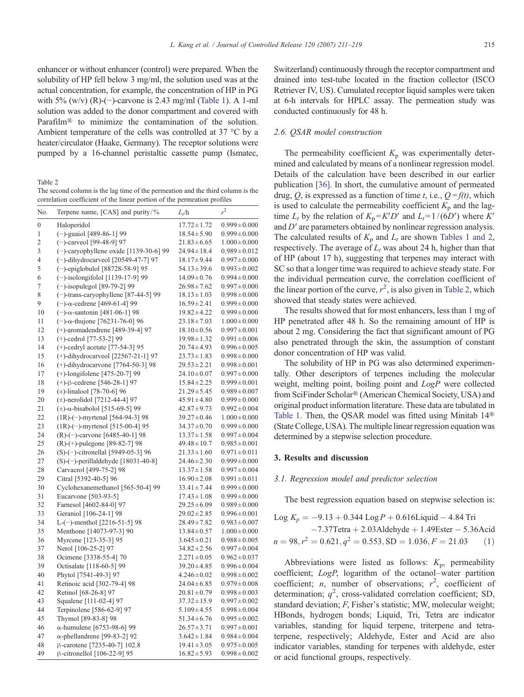enhancer or without enhancer (control) were prepared. When the solubility of HP fell below 3 mg/ml, the solution used was at the actual concentration, for example, the concentration of HP in PG with 5% (w/v) (R)-(−)-carvone is 2.43 mg/ml ([Table 1\)](#page-3-0). A 1-ml solution was added to the donor compartment and covered with Parafilm® to minimize the contamination of the solution. Ambient temperature of the cells was controlled at 37 °C by a heater/circulator (Haake, Germany). The receptor solutions were pumped by a 16-channel peristaltic cassette pump (Ismatec,

Table 2

The second column is the lag time of the permeation and the third column is the correlation coefficient of the linear portion of the permeation profiles

| No. | Terpene name, [CAS] and purity/%            | $L/\hbar$        | $r^2$             |
|-----|---------------------------------------------|------------------|-------------------|
| 0   | Haloperidol                                 | $17.72 \pm 1.72$ | $0.999 \pm 0.000$ |
| 1   | $(-)$ -guaiol [489-86-1] 99                 | $18.54 \pm 5.90$ | $0.999 \pm 0.000$ |
| 2   | $(-)$ -carveol [99-48-9] 97                 | $21.83 \pm 6.65$ | $1.000 \pm 0.000$ |
| 3   | $(-)$ -caryophyllene oxide [1139-30-6] 99   | $24.94 \pm 18.4$ | $0.989 \pm 0.012$ |
| 4   | $(-)$ -dihydrocarveol [20549-47-7] 97       | $18.17 \pm 9.44$ | $0.997 \pm 0.000$ |
| 5   | (-)-epiglobulol [88728-58-9] 95             | $54.13 \pm 39.6$ | $0.993 \pm 0.002$ |
| 6   | (-)-isolongifolol [1139-17-9] 99            | $14.09 \pm 0.76$ | $0.994 \pm 0.000$ |
| 7   | $(-)$ -isopulegol [89-79-2] 99              | $26.98 \pm 7.62$ | $0.997 \pm 0.000$ |
| 8   | $(-)$ -trans-caryophyllene [87-44-5] 99     | $18.13 \pm 1.03$ | $0.998 \pm 0.000$ |
| 9   | $(-)$ - $\alpha$ -cedrene [469-61-4] 99     | $16.59 \pm 2.41$ | $0.999 \pm 0.000$ |
| 10  | $(-)$ - $\alpha$ -santonin [481-06-1] 98    | $19.82 \pm 4.22$ | $0.999 \pm 0.000$ |
| 11  | $(-)$ - $\alpha$ -thujone [76231-76-0] 96   | $23.18 \pm 7.03$ | $1.000 \pm 0.000$ |
| 12  | (+)-aromadendrene [489-39-4] 97             | $18.10 \pm 0.56$ | $0.997 \pm 0.001$ |
| 13  | (+)-cedrol [77-53-2] 99                     | $19.98 \pm 1.32$ | $0.991 \pm 0.006$ |
| 14  | (+)-cedryl acetate [77-54-3] 95             | $20.74 \pm 4.93$ | $0.996 \pm 0.005$ |
| 15  | (+)-dihydrocarveol [22567-21-1] 97          | $23.73 \pm 1.83$ | $0.998 \pm 0.000$ |
| 16  | (+)-dihydrocarvone [7764-50-3] 98           | $29.53 \pm 2.21$ | $0.998 \pm 0.001$ |
| 17  | (+)-longifolene [475-20-7] 99               | $24.10 \pm 0.07$ | $0.997 \pm 0.000$ |
| 18  | $(+)$ - $\beta$ -cedrene [546-28-1] 97      | $15.84 \pm 2.25$ | $0.999 \pm 0.001$ |
| 19  | $(\pm)$ -linalool [78-70-6] 96              | $21.29 \pm 5.45$ | $0.989 \pm 0.007$ |
| 20  | $(\pm)$ -nerolidol [7212-44-4] 97           | $45.91 \pm 4.80$ | $0.999 \pm 0.000$ |
| 21  | $(\pm)$ - $\alpha$ -bisabolol [515-69-5] 99 | $42.87 \pm 9.73$ | $0.992 \pm 0.004$ |
| 22  | $(1R)$ - $(-)$ -myrtenal [564-94-3] 98      | $39.27 \pm 0.46$ | $1.000 \pm 0.000$ |
| 23  | $(1R)$ - $(-)$ -myrtenol [515-00-4] 95      | $34.37 \pm 0.70$ | $0.999 \pm 0.000$ |
| 24  | $(R)$ - $(-)$ -carvone [6485-40-1] 98       | $13.37 \pm 1.58$ | $0.997 \pm 0.004$ |
| 25  | $(R)-(+)$ -pulegone [89-82-7] 98            | $49.48 \pm 10.7$ | $0.985 \pm 0.001$ |
| 26  | $(S)$ - $(-)$ -citronellal [5949-05-3] 96   | $21.33 \pm 1.60$ | $0.971 \pm 0.011$ |
| 27  | $(S)$ - $(-)$ -perillaldehyde [18031-40-8]  | $24.46 \pm 2.30$ | $0.999 \pm 0.000$ |
| 28  | Carvacrol [499-75-2] 98                     | $13.37 \pm 1.58$ | $0.997 \pm 0.004$ |
| 29  | Citral [5392-40-5] 96                       | $16.90 \pm 2.08$ | $0.991 \pm 0.011$ |
| 30  | Cyclohexanemethanol [565-50-4] 99           | $33.41 \pm 7.44$ | $0.999 \pm 0.000$ |
| 31  | Eucarvone [503-93-5]                        | $17.43 \pm 1.08$ | $0.999 \pm 0.000$ |
| 32  | Farnesol [4602-84-0] 97                     | $29.25 \pm 6.09$ | $0.989 \pm 0.000$ |
| 33  | Geraniol [106-24-1] 98                      | $29.02 \pm 2.85$ | $0.996 \pm 0.001$ |
| 34  | L- $(-)$ -menthol [2216-51-5] 98            | $28.49 \pm 7.82$ | $0.983 \pm 0.007$ |
| 35  | Menthone [14073-97-3] 90                    | $13.84 \pm 0.57$ | $1.000 \pm 0.000$ |
| 36  | Myrcene [123-35-3] 95                       | $3.645 \pm 0.21$ | $0.988 \pm 0.005$ |
| 37  | Nerol [106-25-2] 97                         | $34.82 \pm 2.56$ | $0.997 \pm 0.004$ |
| 38  | Ocimene [3338-55-4] 70                      | $2.271 \pm 0.05$ | $0.962 \pm 0.037$ |
| 39  | Octisalate [118-60-5] 99                    | $39.20 \pm 4.85$ | $0.996 \pm 0.004$ |
| 40  | Phytol [7541-49-3] 97                       | $4.246 \pm 0.02$ | $0.998 \pm 0.002$ |
| 41  | Retinoic acid [302-79-4] 98                 | $24.04 \pm 6.85$ | $0.979 \pm 0.008$ |
| 42  | Retinol [68-26-8] 97                        | $20.81 \pm 0.79$ | $0.998 \pm 0.003$ |
| 43  | Squalene [111-02-4] 97                      | $37.32 \pm 15.9$ | $0.997 \pm 0.002$ |
| 44  | Terpinolene [586-62-9] 97                   | $5.109 \pm 4.55$ | $0.998 \pm 0.004$ |
| 45  | Thymol [89-83-8] 98                         | $51.34 \pm 6.76$ | $0.995 \pm 0.002$ |
| 46  | $α$ -humulene [6753-98-6] 99                | $26.57 \pm 3.71$ | $0.997 \pm 0.001$ |
| 47  | $\alpha$ -phellandrene [99-83-2] 92         | $3.642 \pm 1.84$ | $0.984 \pm 0.004$ |
| 48  | β-carotene [7235-40-7] 102.8                | $19.41 \pm 3.05$ | $0.975 \pm 0.005$ |
|     |                                             |                  |                   |
| 49  | β-citronellol [106-22-9] 95                 | $16.82 \pm 5.93$ | $0.998 \pm 0.002$ |

Switzerland) continuously through the receptor compartment and drained into test-tube located in the fraction collector (ISCO Retriever IV, US). Cumulated receptor liquid samples were taken at 6-h intervals for HPLC assay. The permeation study was conducted continuously for 48 h.

## 2.6. QSAR model construction

The permeability coefficient  $K_p$  was experimentally determined and calculated by means of a nonlinear regression model. Details of the calculation have been described in our earlier publication [\[36\]](#page-8-0). In short, the cumulative amount of permeated drug, Q, is expressed as a function of time t, i.e.,  $Q = f(t)$ , which is used to calculate the permeability coefficient  $K_p$  and the lagtime  $L_t$  by the relation of  $K_p = K'D'$  and  $L_t = 1/(6D')$  where K' and  $D'$  are parameters obtained by nonlinear regression analysis. The calculated results of  $K_p$  and  $L_t$  are shown [Tables 1 and 2](#page-3-0), respectively. The average of  $L_t$  was about 24 h, higher than that of HP (about 17 h), suggesting that terpenes may interact with SC so that a longer time was required to achieve steady state. For the individual permeation curve, the correlation coefficient of the linear portion of the curve,  $r^2$ , is also given in Table 2, which showed that steady states were achieved.

The results showed that for most enhancers, less than 1 mg of HP penetrated after 48 h. So the remaining amount of HP is about 2 mg. Considering the fact that significant amount of PG also penetrated through the skin, the assumption of constant donor concentration of HP was valid.

The solubility of HP in PG was also determined experimentally. Other descriptors of terpenes including the molecular weight, melting point, boiling point and  $LogP$  were collected from SciFinder Scholar® (American Chemical Society, USA) and original product information literature. These data are tabulated in [Table 1](#page-3-0). Then, the QSAR model was fitted using Minitab 14® (State College, USA). The multiple linear regression equation was determined by a stepwise selection procedure.

#### 3. Results and discussion

#### 3.1. Regression model and predictor selection

The best regression equation based on stepwise selection is:

Log  $K_p = -9.13 + 0.344 \text{ Log} P + 0.616 \text{Liquid} - 4.84 \text{ Tri}$  $-7.37$ Tetra + 2.03Aldehyde + 1.49Ester  $-5.36$ Acid  $n = 98, r^2 = 0.621, q^2 = 0.553, SD = 1.036, F = 21.03$  (1)

Abbreviations were listed as follows:  $K_p$ , permeability coefficient; LogP, logarithm of the octanol–water partition coefficient; *n*, number of observations;  $r^2$ , coefficient of determination;  $q^2$ , cross-validated correlation coefficient; SD, standard deviation; F, Fisher's statistic; MW, molecular weight; HBonds, hydrogen bonds; Liquid, Tri, Tetra are indicator variables, standing for liquid terpene, triterpene and tetraterpene, respectively; Aldehyde, Ester and Acid are also indicator variables, standing for terpenes with aldehyde, ester or acid functional groups, respectively.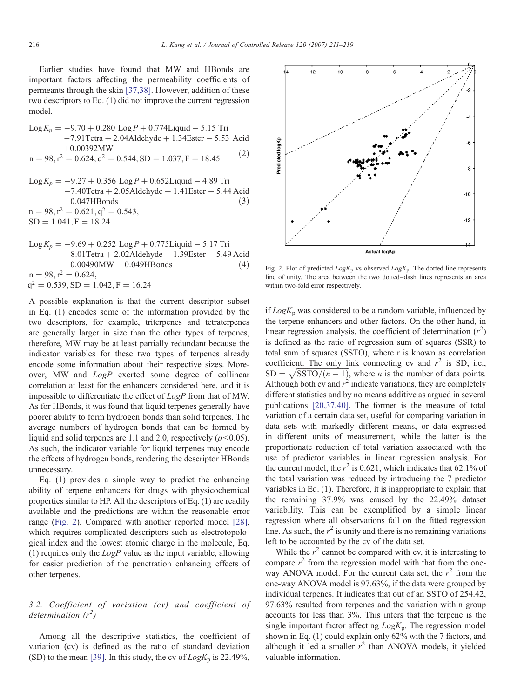<span id="page-5-0"></span>Earlier studies have found that MW and HBonds are important factors affecting the permeability coefficients of permeants through the skin [\[37,38\].](#page-8-0) However, addition of these two descriptors to Eq. (1) did not improve the current regression model.

Log 
$$
K_p = -9.70 + 0.280 \text{ Log } P + 0.774 \text{Liquid} - 5.15 \text{ Tri}
$$
  
\n $-7.91 \text{Tetra} + 2.04 \text{Aldehyde} + 1.34 \text{Ester} - 5.53 \text{ Acid}$   
\n $+0.00392 \text{MW}$   
\n $n = 98, r^2 = 0.624, q^2 = 0.544, SD = 1.037, F = 18.45$  (2)

 $\text{Log } K_p = -9.27 + 0.356 \text{ Log } P + 0.652 \text{Liquid} - 4.89 \text{ Tri}$  $-7.40$ Tetra + 2.05Aldehyde + 1.41Ester  $-5.44$  Acid  $+0.047$ HBonds  $n = 98, r^2 = 0.621, q^2 = 0.543,$  $SD = 1.041, F = 18.24$  $(3)$ 

Log 
$$
K_p = -9.69 + 0.252 \text{ Log } P + 0.775 \text{Liquid} - 5.17 \text{ Tri}
$$
  
\n $-8.01 \text{Tetra} + 2.02 \text{Aldehyde} + 1.39 \text{Ester} - 5.49 \text{ Acid}$   
\n $+0.00490 \text{MW} - 0.049 \text{HBonds}$   
\n $n = 98, r^2 = 0.624,$   
\n $q^2 = 0.539, SD = 1.042, F = 16.24$ 

A possible explanation is that the current descriptor subset in Eq. (1) encodes some of the information provided by the two descriptors, for example, triterpenes and tetraterpenes are generally larger in size than the other types of terpenes, therefore, MW may be at least partially redundant because the indicator variables for these two types of terpenes already encode some information about their respective sizes. Moreover, MW and LogP exerted some degree of collinear correlation at least for the enhancers considered here, and it is impossible to differentiate the effect of LogP from that of MW. As for HBonds, it was found that liquid terpenes generally have poorer ability to form hydrogen bonds than solid terpenes. The average numbers of hydrogen bonds that can be formed by liquid and solid terpenes are 1.1 and 2.0, respectively ( $p<0.05$ ). As such, the indicator variable for liquid terpenes may encode the effects of hydrogen bonds, rendering the descriptor HBonds unnecessary.

Eq. (1) provides a simple way to predict the enhancing ability of terpene enhancers for drugs with physicochemical properties similar to HP. All the descriptors of Eq. (1) are readily available and the predictions are within the reasonable error range (Fig. 2). Compared with another reported model [\[28\]](#page-8-0), which requires complicated descriptors such as electrotopological index and the lowest atomic charge in the molecule, Eq. (1) requires only the  $LogP$  value as the input variable, allowing for easier prediction of the penetration enhancing effects of other terpenes.

# 3.2. Coefficient of variation (cv) and coefficient of determination  $(r^2)$

Among all the descriptive statistics, the coefficient of variation (cv) is defined as the ratio of standard deviation (SD) to the mean [\[39\].](#page-8-0) In this study, the cv of  $Log K_p$  is 22.49%,



Fig. 2. Plot of predicted  $Log K_p$  vs observed  $Log K_p$ . The dotted line represents line of unity. The area between the two dotted–dash lines represents an area within two-fold error respectively.

if  $Log K_p$  was considered to be a random variable, influenced by the terpene enhancers and other factors. On the other hand, in linear regression analysis, the coefficient of determination  $(r^2)$ is defined as the ratio of regression sum of squares (SSR) to total sum of squares (SSTO), where r is known as correlation coefficient. The only link connecting cv and  $r^2$  is SD, i.e.,  $SD = \sqrt{SSTO/(n-1)}$ , where *n* is the number of data points. Although both cv and  $r^2$  indicate variations, they are completely different statistics and by no means additive as argued in several publications [\[20,37,40\]](#page-7-0). The former is the measure of total variation of a certain data set, useful for comparing variation in data sets with markedly different means, or data expressed in different units of measurement, while the latter is the proportionate reduction of total variation associated with the use of predictor variables in linear regression analysis. For the current model, the  $r^2$  is 0.621, which indicates that 62.1% of the total variation was reduced by introducing the 7 predictor variables in Eq. (1). Therefore, it is inappropriate to explain that the remaining 37.9% was caused by the 22.49% dataset variability. This can be exemplified by a simple linear regression where all observations fall on the fitted regression line. As such, the  $r^2$  is unity and there is no remaining variations left to be accounted by the cv of the data set.

While the  $r^2$  cannot be compared with cv, it is interesting to compare  $r^2$  from the regression model with that from the oneway ANOVA model. For the current data set, the  $r^2$  from the one-way ANOVA model is 97.63%, if the data were grouped by individual terpenes. It indicates that out of an SSTO of 254.42, 97.63% resulted from terpenes and the variation within group accounts for less than 3%. This infers that the terpene is the single important factor affecting  $Log K_p$ . The regression model shown in Eq. (1) could explain only 62% with the 7 factors, and although it led a smaller  $r^2$  than ANOVA models, it yielded valuable information.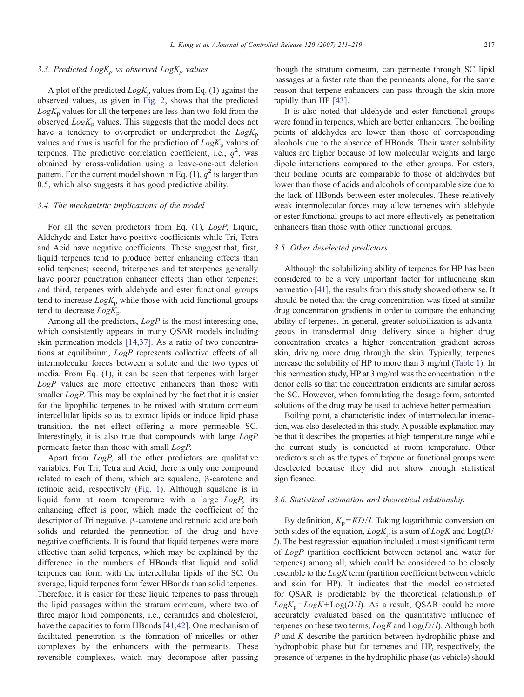## 3.3. Predicted  $Log K_p$  vs observed  $Log K_p$  values

A plot of the predicted  $Log K<sub>p</sub>$  values from Eq. (1) against the observed values, as given in [Fig. 2](#page-5-0), shows that the predicted  $Log K<sub>p</sub>$  values for all the terpenes are less than two-fold from the observed  $Log K<sub>p</sub>$  values. This suggests that the model does not have a tendency to overpredict or underpredict the  $Log K<sub>p</sub>$ values and thus is useful for the prediction of  $Log K<sub>p</sub>$  values of terpenes. The predictive correlation coefficient, i.e.,  $q^2$ , was obtained by cross-validation using a leave-one-out deletion pattern. For the current model shown in Eq. (1),  $q^2$  is larger than 0.5, which also suggests it has good predictive ability.

## 3.4. The mechanistic implications of the model

For all the seven predictors from Eq. (1), LogP, Liquid, Aldehyde and Ester have positive coefficients while Tri, Tetra and Acid have negative coefficients. These suggest that, first, liquid terpenes tend to produce better enhancing effects than solid terpenes; second, triterpenes and tetraterpenes generally have poorer penetration enhancer effects than other terpenes; and third, terpenes with aldehyde and ester functional groups tend to increase  $Log K<sub>p</sub>$  while those with acid functional groups tend to decrease  $Log K_p$ .

Among all the predictors,  $LogP$  is the most interesting one, which consistently appears in many QSAR models including skin permeation models [\[14,37\].](#page-7-0) As a ratio of two concentrations at equilibrium, LogP represents collective effects of all intermolecular forces between a solute and the two types of media. From Eq. (1), it can be seen that terpenes with larger LogP values are more effective enhancers than those with smaller LogP. This may be explained by the fact that it is easier for the lipophilic terpenes to be mixed with stratum corneum intercellular lipids so as to extract lipids or induce lipid phase transition, the net effect offering a more permeable SC. Interestingly, it is also true that compounds with large  $LogP$ permeate faster than those with small LogP.

Apart from LogP, all the other predictors are qualitative variables. For Tri, Tetra and Acid, there is only one compound related to each of them, which are squalene, β-carotene and retinoic acid, respectively ([Fig. 1](#page-2-0)). Although squalene is in liquid form at room temperature with a large LogP, its enhancing effect is poor, which made the coefficient of the descriptor of Tri negative. β-carotene and retinoic acid are both solids and retarded the permeation of the drug and have negative coefficients. It is found that liquid terpenes were more effective than solid terpenes, which may be explained by the difference in the numbers of HBonds that liquid and solid terpenes can form with the intercellular lipids of the SC. On average, liquid terpenes form fewer HBonds than solid terpenes. Therefore, it is easier for these liquid terpenes to pass through the lipid passages within the stratum corneum, where two of three major lipid components, i.e., ceramides and cholesterol, have the capacities to form HBonds [\[41,42\]](#page-8-0). One mechanism of facilitated penetration is the formation of micelles or other complexes by the enhancers with the permeants. These reversible complexes, which may decompose after passing

though the stratum corneum, can permeate through SC lipid passages at a faster rate than the permeants alone, for the same reason that terpene enhancers can pass through the skin more rapidly than HP [\[43\].](#page-8-0)

It is also noted that aldehyde and ester functional groups were found in terpenes, which are better enhancers. The boiling points of aldehydes are lower than those of corresponding alcohols due to the absence of HBonds. Their water solubility values are higher because of low molecular weights and large dipole interactions compared to the other groups. For esters, their boiling points are comparable to those of aldehydes but lower than those of acids and alcohols of comparable size due to the lack of HBonds between ester molecules. These relatively weak intermolecular forces may allow terpenes with aldehyde or ester functional groups to act more effectively as penetration enhancers than those with other functional groups.

#### 3.5. Other deselected predictors

Although the solubilizing ability of terpenes for HP has been considered to be a very important factor for influencing skin permeation [\[41\],](#page-8-0) the results from this study showed otherwise. It should be noted that the drug concentration was fixed at similar drug concentration gradients in order to compare the enhancing ability of terpenes. In general, greater solubilization is advantageous in transdermal drug delivery since a higher drug concentration creates a higher concentration gradient across skin, driving more drug through the skin. Typically, terpenes increase the solubility of HP to more than 3 mg/ml [\(Table 1](#page-3-0)). In this permeation study, HP at 3 mg/ml was the concentration in the donor cells so that the concentration gradients are similar across the SC. However, when formulating the dosage form, saturated solutions of the drug may be used to achieve better permeation.

Boiling point, a characteristic index of intermolecular interaction, was also deselected in this study. A possible explanation may be that it describes the properties at high temperature range while the current study is conducted at room temperature. Other predictors such as the types of terpene or functional groups were deselected because they did not show enough statistical significance.

#### 3.6. Statistical estimation and theoretical relationship

By definition,  $K_p = KD/l$ . Taking logarithmic conversion on both sides of the equation,  $Log K<sub>p</sub>$  is a sum of  $Log K$  and  $Log(D/$ l). The best regression equation included a most significant term of LogP (partition coefficient between octanol and water for terpenes) among all, which could be considered to be closely resemble to the *LogK* term (partition coefficient between vehicle and skin for HP). It indicates that the model constructed for QSAR is predictable by the theoretical relationship of  $Log K<sub>p</sub>=Log K+Log(D/l)$ . As a result, QSAR could be more accurately evaluated based on the quantitative influence of terpenes on these two terms,  $Log K$  and  $Log(D/l)$ . Although both P and K describe the partition between hydrophilic phase and hydrophobic phase but for terpenes and HP, respectively, the presence of terpenes in the hydrophilic phase (as vehicle) should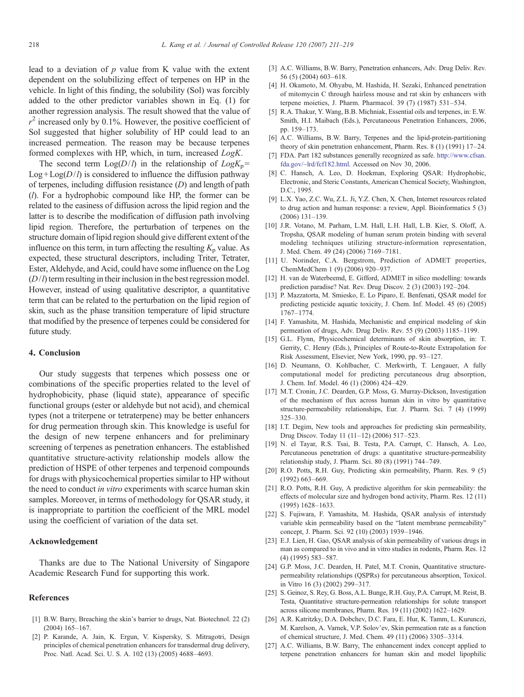<span id="page-7-0"></span>lead to a deviation of  $p$  value from K value with the extent dependent on the solubilizing effect of terpenes on HP in the vehicle. In light of this finding, the solubility (Sol) was forcibly added to the other predictor variables shown in Eq. (1) for another regression analysis. The result showed that the value of  $r^2$  increased only by 0.1%. However, the positive coefficient of Sol suggested that higher solubility of HP could lead to an increased permeation. The reason may be because terpenes formed complexes with HP, which, in turn, increased LogK.

The second term  $Log(D/l)$  in the relationship of  $LogK_p$ =  $Log+Log(D/l)$  is considered to influence the diffusion pathway of terpenes, including diffusion resistance  $(D)$  and length of path  $(l)$ . For a hydrophobic compound like HP, the former can be related to the easiness of diffusion across the lipid region and the latter is to describe the modification of diffusion path involving lipid region. Therefore, the perturbation of terpenes on the structure domain of lipid region should give different extent of the influence on this term, in turn affecting the resulting  $K_p$  value. As expected, these structural descriptors, including Triter, Tetrater, Ester, Aldehyde, and Acid, could have some influence on the Log  $(D/l)$  term resulting in their inclusion in the best regression model. However, instead of using qualitative descriptor, a quantitative term that can be related to the perturbation on the lipid region of skin, such as the phase transition temperature of lipid structure that modified by the presence of terpenes could be considered for future study.

#### 4. Conclusion

Our study suggests that terpenes which possess one or combinations of the specific properties related to the level of hydrophobicity, phase (liquid state), appearance of specific functional groups (ester or aldehyde but not acid), and chemical types (not a triterpene or tetraterpene) may be better enhancers for drug permeation through skin. This knowledge is useful for the design of new terpene enhancers and for preliminary screening of terpenes as penetration enhancers. The established quantitative structure-activity relationship models allow the prediction of HSPE of other terpenes and terpenoid compounds for drugs with physicochemical properties similar to HP without the need to conduct *in vitro* experiments with scarce human skin samples. Moreover, in terms of methodology for QSAR study, it is inappropriate to partition the coefficient of the MRL model using the coefficient of variation of the data set.

## Acknowledgement

Thanks are due to The National University of Singapore Academic Research Fund for supporting this work.

### References

- [1] B.W. Barry, Breaching the skin's barrier to drugs, Nat. Biotechnol. 22 (2) (2004) 165–167.
- [2] P. Karande, A. Jain, K. Ergun, V. Kispersky, S. Mitragotri, Design principles of chemical penetration enhancers for transdermal drug delivery, Proc. Natl. Acad. Sci. U. S. A. 102 (13) (2005) 4688–4693.
- [3] A.C. Williams, B.W. Barry, Penetration enhancers, Adv. Drug Deliv. Rev. 56 (5) (2004) 603–618.
- [4] H. Okamoto, M. Ohyabu, M. Hashida, H. Sezaki, Enhanced penetration of mitomycin C through hairless mouse and rat skin by enhancers with terpene moieties, J. Pharm. Pharmacol. 39 (7) (1987) 531–534.
- [5] R.A. Thakur, Y. Wang, B.B. Michniak, Essential oils and terpenes, in: E.W. Smith, H.I. Maibach (Eds.), Percutaneous Penetration Enhancers, 2006, pp. 159–173.
- [6] A.C. Williams, B.W. Barry, Terpenes and the lipid-protein-partitioning theory of skin penetration enhancement, Pharm. Res. 8 (1) (1991) 17–24.
- [7] FDA. Part 182 substances generally recognized as safe. [http://www.cfsan.](http://www.cfsan.fda.gov/~lrd/fcf182.html) [fda.gov/~lrd/fcf182.html.](http://www.cfsan.fda.gov/~lrd/fcf182.html) Accessed on Nov 30, 2006.
- [8] C. Hansch, A. Leo, D. Hoekman, Exploring QSAR: Hydrophobic, Electronic, and Steric Constants, American Chemical Society, Washington, D.C., 1995.
- [9] L.X. Yao, Z.C. Wu, Z.L. Ji, Y.Z. Chen, X. Chen, Internet resources related to drug action and human response: a review, Appl. Bioinformatics 5 (3) (2006) 131–139.
- [10] J.R. Votano, M. Parham, L.M. Hall, L.H. Hall, L.B. Kier, S. Oloff, A. Tropsha, QSAR modeling of human serum protein binding with several modeling techniques utilizing structure-information representation, J. Med. Chem. 49 (24) (2006) 7169–7181.
- [11] U. Norinder, C.A. Bergstrom, Prediction of ADMET properties, ChemMedChem 1 (9) (2006) 920–937.
- [12] H. van de Waterbeemd, E. Gifford, ADMET in silico modelling: towards prediction paradise? Nat. Rev. Drug Discov. 2 (3) (2003) 192–204.
- [13] P. Mazzatorta, M. Smiesko, E. Lo Piparo, E. Benfenati, OSAR model for predicting pesticide aquatic toxicity, J. Chem. Inf. Model. 45 (6) (2005) 1767–1774.
- [14] F. Yamashita, M. Hashida, Mechanistic and empirical modeling of skin permeation of drugs, Adv. Drug Deliv. Rev. 55 (9) (2003) 1185–1199.
- [15] G.L. Flynn, Physicochemical determinants of skin absorption, in: T. Gerrity, C. Henry (Eds.), Principles of Route-to-Route Extrapolation for Risk Assessment, Elsevier, New York, 1990, pp. 93–127.
- [16] D. Neumann, O. Kohlbacher, C. Merkwirth, T. Lengauer, A fully computational model for predicting percutaneous drug absorption, J. Chem. Inf. Model. 46 (1) (2006) 424–429.
- [17] M.T. Cronin, J.C. Dearden, G.P. Moss, G. Murray-Dickson, Investigation of the mechanism of flux across human skin in vitro by quantitative structure-permeability relationships, Eur. J. Pharm. Sci. 7 (4) (1999) 325–330.
- [18] I.T. Degim, New tools and approaches for predicting skin permeability, Drug Discov. Today 11 (11–12) (2006) 517–523.
- [19] N. el Tayar, R.S. Tsai, B. Testa, P.A. Carrupt, C. Hansch, A. Leo, Percutaneous penetration of drugs: a quantitative structure-permeability relationship study, J. Pharm. Sci. 80 (8) (1991) 744–749.
- [20] R.O. Potts, R.H. Guy, Predicting skin permeability, Pharm. Res. 9 (5) (1992) 663–669.
- [21] R.O. Potts, R.H. Guy, A predictive algorithm for skin permeability: the effects of molecular size and hydrogen bond activity, Pharm. Res. 12 (11) (1995) 1628–1633.
- [22] S. Fujiwara, F. Yamashita, M. Hashida, QSAR analysis of interstudy variable skin permeability based on the "latent membrane permeability" concept, J. Pharm. Sci. 92 (10) (2003) 1939–1946.
- [23] E.J. Lien, H. Gao, QSAR analysis of skin permeability of various drugs in man as compared to in vivo and in vitro studies in rodents, Pharm. Res. 12 (4) (1995) 583–587.
- [24] G.P. Moss, J.C. Dearden, H. Patel, M.T. Cronin, Quantitative structurepermeability relationships (QSPRs) for percutaneous absorption, Toxicol. in Vitro 16 (3) (2002) 299–317.
- [25] S. Geinoz, S. Rey, G. Boss, A.L. Bunge, R.H. Guy, P.A. Carrupt, M. Reist, B. Testa, Quantitative structure-permeation relationships for solute transport across silicone membranes, Pharm. Res. 19 (11) (2002) 1622–1629.
- [26] A.R. Katritzky, D.A. Dobchev, D.C. Fara, E. Hur, K. Tamm, L. Kurunczi, M. Karelson, A. Varnek, V.P. Solov'ev, Skin permeation rate as a function of chemical structure, J. Med. Chem. 49 (11) (2006) 3305–3314.
- [27] A.C. Williams, B.W. Barry, The enhancement index concept applied to terpene penetration enhancers for human skin and model lipophilic